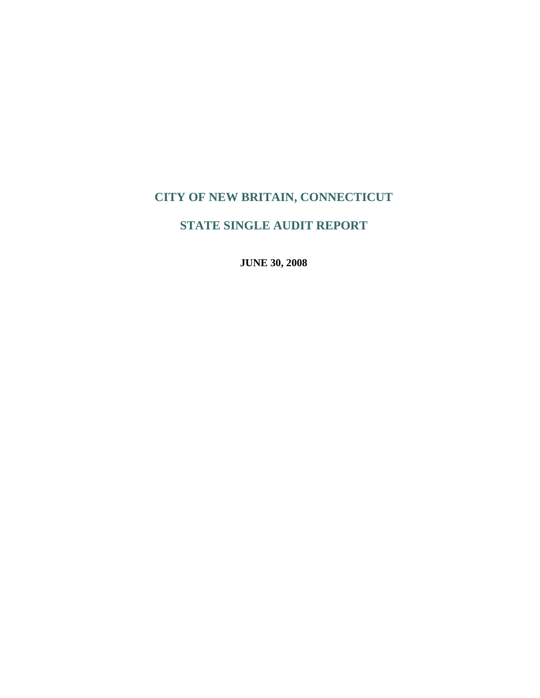# **STATE SINGLE AUDIT REPORT**

**JUNE 30, 2008**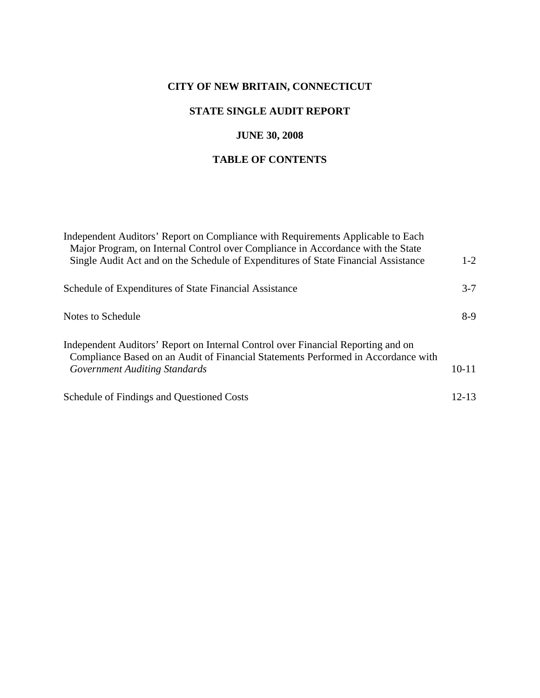# **STATE SINGLE AUDIT REPORT**

# **JUNE 30, 2008**

# **TABLE OF CONTENTS**

| Independent Auditors' Report on Compliance with Requirements Applicable to Each<br>Major Program, on Internal Control over Compliance in Accordance with the State    |           |
|-----------------------------------------------------------------------------------------------------------------------------------------------------------------------|-----------|
| Single Audit Act and on the Schedule of Expenditures of State Financial Assistance                                                                                    | $1 - 2$   |
| Schedule of Expenditures of State Financial Assistance                                                                                                                | $3 - 7$   |
| Notes to Schedule                                                                                                                                                     | $8-9$     |
| Independent Auditors' Report on Internal Control over Financial Reporting and on<br>Compliance Based on an Audit of Financial Statements Performed in Accordance with |           |
| <b>Government Auditing Standards</b>                                                                                                                                  | $10 - 11$ |
| Schedule of Findings and Questioned Costs                                                                                                                             | $12 - 13$ |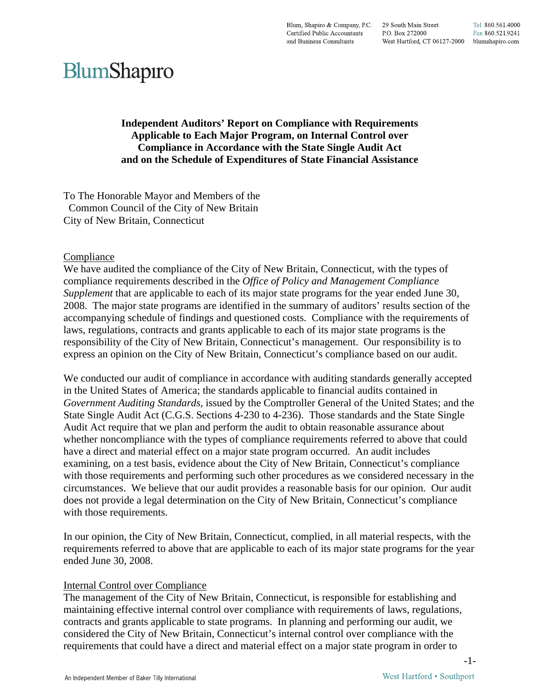Blum, Shapiro & Company, P.C. 29 South Main Street Tel 860.561.4000 Certified Public Accountants P.O. Box 272000 Fax 860.521.9241 and Business Consultants West Hartford, CT 06127-2000 blumshapiro.com

# BlumShapiro

**Independent Auditors' Report on Compliance with Requirements Applicable to Each Major Program, on Internal Control over Compliance in Accordance with the State Single Audit Act and on the Schedule of Expenditures of State Financial Assistance** 

To The Honorable Mayor and Members of the Common Council of the City of New Britain City of New Britain, Connecticut

#### Compliance

We have audited the compliance of the City of New Britain, Connecticut, with the types of compliance requirements described in the *Office of Policy and Management Compliance Supplement* that are applicable to each of its major state programs for the year ended June 30, 2008. The major state programs are identified in the summary of auditors' results section of the accompanying schedule of findings and questioned costs. Compliance with the requirements of laws, regulations, contracts and grants applicable to each of its major state programs is the responsibility of the City of New Britain, Connecticut's management. Our responsibility is to express an opinion on the City of New Britain, Connecticut's compliance based on our audit.

We conducted our audit of compliance in accordance with auditing standards generally accepted in the United States of America; the standards applicable to financial audits contained in *Government Auditing Standards*, issued by the Comptroller General of the United States; and the State Single Audit Act (C.G.S. Sections 4-230 to 4-236). Those standards and the State Single Audit Act require that we plan and perform the audit to obtain reasonable assurance about whether noncompliance with the types of compliance requirements referred to above that could have a direct and material effect on a major state program occurred. An audit includes examining, on a test basis, evidence about the City of New Britain, Connecticut's compliance with those requirements and performing such other procedures as we considered necessary in the circumstances. We believe that our audit provides a reasonable basis for our opinion. Our audit does not provide a legal determination on the City of New Britain, Connecticut's compliance with those requirements.

In our opinion, the City of New Britain, Connecticut, complied, in all material respects, with the requirements referred to above that are applicable to each of its major state programs for the year ended June 30, 2008.

#### Internal Control over Compliance

The management of the City of New Britain, Connecticut, is responsible for establishing and maintaining effective internal control over compliance with requirements of laws, regulations, contracts and grants applicable to state programs. In planning and performing our audit, we considered the City of New Britain, Connecticut's internal control over compliance with the requirements that could have a direct and material effect on a major state program in order to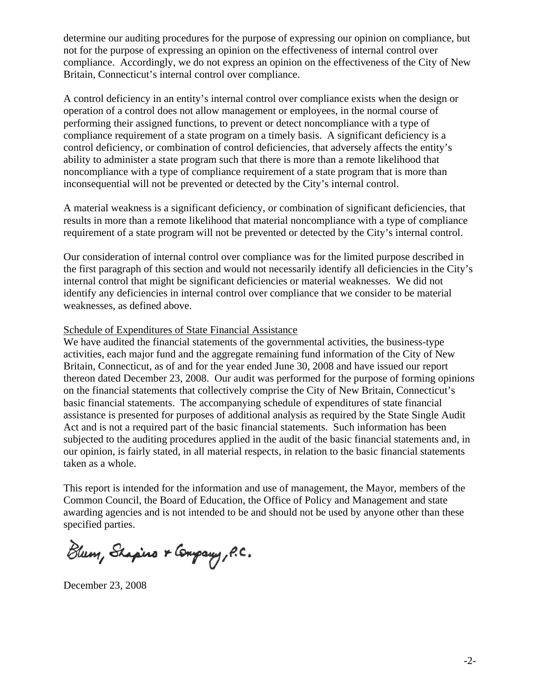determine our auditing procedures for the purpose of expressing our opinion on compliance, but not for the purpose of expressing an opinion on the effectiveness of internal control over compliance. Accordingly, we do not express an opinion on the effectiveness of the City of New Britain, Connecticut's internal control over compliance.

A control deficiency in an entity's internal control over compliance exists when the design or operation of a control does not allow management or employees, in the normal course of performing their assigned functions, to prevent or detect noncompliance with a type of compliance requirement of a state program on a timely basis. A significant deficiency is a control deficiency, or combination of control deficiencies, that adversely affects the entity's ability to administer a state program such that there is more than a remote likelihood that noncompliance with a type of compliance requirement of a state program that is more than inconsequential will not be prevented or detected by the City's internal control.

A material weakness is a significant deficiency, or combination of significant deficiencies, that results in more than a remote likelihood that material noncompliance with a type of compliance requirement of a state program will not be prevented or detected by the City's internal control.

Our consideration of internal control over compliance was for the limited purpose described in the first paragraph of this section and would not necessarily identify all deficiencies in the City's internal control that might be significant deficiencies or material weaknesses. We did not identify any deficiencies in internal control over compliance that we consider to be material weaknesses, as defined above.

#### Schedule of Expenditures of State Financial Assistance

We have audited the financial statements of the governmental activities, the business-type activities, each major fund and the aggregate remaining fund information of the City of New Britain, Connecticut, as of and for the year ended June 30, 2008 and have issued our report thereon dated December 23, 2008. Our audit was performed for the purpose of forming opinions on the financial statements that collectively comprise the City of New Britain, Connecticut's basic financial statements. The accompanying schedule of expenditures of state financial assistance is presented for purposes of additional analysis as required by the State Single Audit Act and is not a required part of the basic financial statements. Such information has been subjected to the auditing procedures applied in the audit of the basic financial statements and, in our opinion, is fairly stated, in all material respects, in relation to the basic financial statements taken as a whole.

This report is intended for the information and use of management, the Mayor, members of the Common Council, the Board of Education, the Office of Policy and Management and state awarding agencies and is not intended to be and should not be used by anyone other than these specified parties.

Blum, Shapino & Company, P.C.

December 23, 2008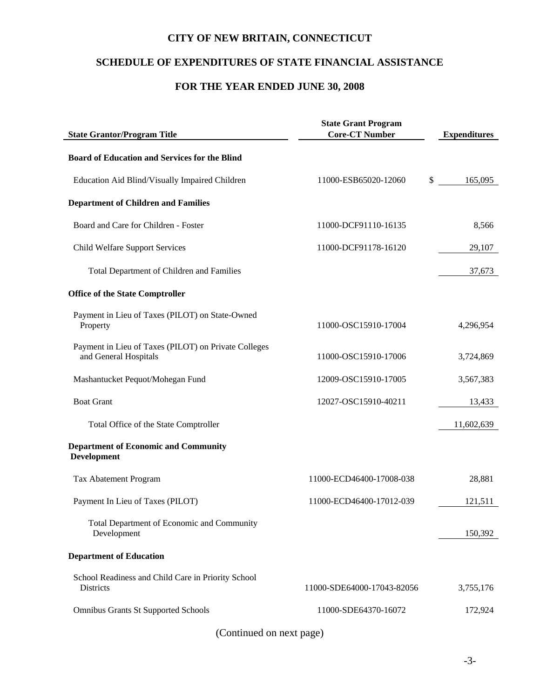# **SCHEDULE OF EXPENDITURES OF STATE FINANCIAL ASSISTANCE**

# **FOR THE YEAR ENDED JUNE 30, 2008**

| <b>State Grantor/Program Title</b>                                            | <b>State Grant Program</b><br><b>Core-CT Number</b> | <b>Expenditures</b> |
|-------------------------------------------------------------------------------|-----------------------------------------------------|---------------------|
| <b>Board of Education and Services for the Blind</b>                          |                                                     |                     |
| Education Aid Blind/Visually Impaired Children                                | 11000-ESB65020-12060                                | \$<br>165,095       |
| <b>Department of Children and Families</b>                                    |                                                     |                     |
| Board and Care for Children - Foster                                          | 11000-DCF91110-16135                                | 8,566               |
| <b>Child Welfare Support Services</b>                                         | 11000-DCF91178-16120                                | 29,107              |
| Total Department of Children and Families                                     |                                                     | 37,673              |
| <b>Office of the State Comptroller</b>                                        |                                                     |                     |
| Payment in Lieu of Taxes (PILOT) on State-Owned<br>Property                   | 11000-OSC15910-17004                                | 4,296,954           |
| Payment in Lieu of Taxes (PILOT) on Private Colleges<br>and General Hospitals | 11000-OSC15910-17006                                | 3,724,869           |
| Mashantucket Pequot/Mohegan Fund                                              | 12009-OSC15910-17005                                | 3,567,383           |
| <b>Boat Grant</b>                                                             | 12027-OSC15910-40211                                | 13,433              |
| Total Office of the State Comptroller                                         |                                                     | 11,602,639          |
| <b>Department of Economic and Community</b><br><b>Development</b>             |                                                     |                     |
| Tax Abatement Program                                                         | 11000-ECD46400-17008-038                            | 28,881              |
| Payment In Lieu of Taxes (PILOT)                                              | 11000-ECD46400-17012-039                            | 121,511             |
| Total Department of Economic and Community<br>Development                     |                                                     | 150,392             |
| <b>Department of Education</b>                                                |                                                     |                     |
| School Readiness and Child Care in Priority School<br><b>Districts</b>        | 11000-SDE64000-17043-82056                          | 3,755,176           |
| <b>Omnibus Grants St Supported Schools</b>                                    | 11000-SDE64370-16072                                | 172,924             |
|                                                                               |                                                     |                     |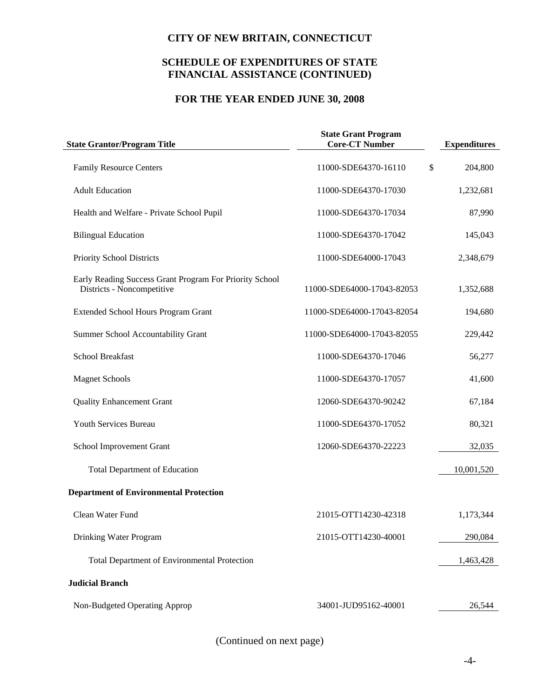#### **SCHEDULE OF EXPENDITURES OF STATE FINANCIAL ASSISTANCE (CONTINUED)**

# **FOR THE YEAR ENDED JUNE 30, 2008**

| <b>State Grantor/Program Title</b>                                                    | <b>State Grant Program</b><br><b>Core-CT Number</b> | <b>Expenditures</b> |
|---------------------------------------------------------------------------------------|-----------------------------------------------------|---------------------|
|                                                                                       |                                                     |                     |
| <b>Family Resource Centers</b>                                                        | 11000-SDE64370-16110                                | \$<br>204,800       |
| <b>Adult Education</b>                                                                | 11000-SDE64370-17030                                | 1,232,681           |
| Health and Welfare - Private School Pupil                                             | 11000-SDE64370-17034                                | 87,990              |
| <b>Bilingual Education</b>                                                            | 11000-SDE64370-17042                                | 145,043             |
| Priority School Districts                                                             | 11000-SDE64000-17043                                | 2,348,679           |
| Early Reading Success Grant Program For Priority School<br>Districts - Noncompetitive | 11000-SDE64000-17043-82053                          | 1,352,688           |
| <b>Extended School Hours Program Grant</b>                                            | 11000-SDE64000-17043-82054                          | 194,680             |
| Summer School Accountability Grant                                                    | 11000-SDE64000-17043-82055                          | 229,442             |
| <b>School Breakfast</b>                                                               | 11000-SDE64370-17046                                | 56,277              |
| <b>Magnet Schools</b>                                                                 | 11000-SDE64370-17057                                | 41,600              |
| <b>Quality Enhancement Grant</b>                                                      | 12060-SDE64370-90242                                | 67,184              |
| <b>Youth Services Bureau</b>                                                          | 11000-SDE64370-17052                                | 80,321              |
| School Improvement Grant                                                              | 12060-SDE64370-22223                                | 32,035              |
| <b>Total Department of Education</b>                                                  |                                                     | 10,001,520          |
| <b>Department of Environmental Protection</b>                                         |                                                     |                     |
| Clean Water Fund                                                                      | 21015-OTT14230-42318                                | 1,173,344           |
| Drinking Water Program                                                                | 21015-OTT14230-40001                                | 290,084             |
| Total Department of Environmental Protection                                          |                                                     | 1,463,428           |
| <b>Judicial Branch</b>                                                                |                                                     |                     |
| Non-Budgeted Operating Approp                                                         | 34001-JUD95162-40001                                | 26,544              |
|                                                                                       |                                                     |                     |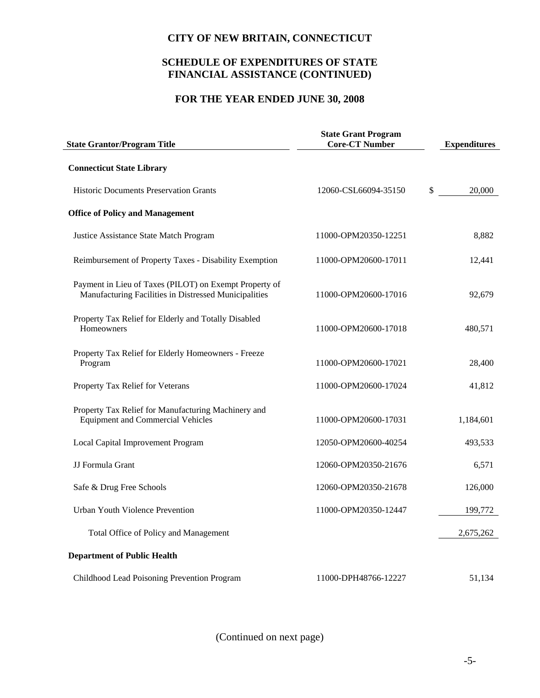#### **SCHEDULE OF EXPENDITURES OF STATE FINANCIAL ASSISTANCE (CONTINUED)**

# **FOR THE YEAR ENDED JUNE 30, 2008**

| <b>State Grantor/Program Title</b>                                                                              | <b>State Grant Program</b><br><b>Core-CT Number</b> | <b>Expenditures</b> |
|-----------------------------------------------------------------------------------------------------------------|-----------------------------------------------------|---------------------|
| <b>Connecticut State Library</b>                                                                                |                                                     |                     |
| <b>Historic Documents Preservation Grants</b>                                                                   | 12060-CSL66094-35150                                | \$<br>20,000        |
| <b>Office of Policy and Management</b>                                                                          |                                                     |                     |
| Justice Assistance State Match Program                                                                          | 11000-OPM20350-12251                                | 8,882               |
| Reimbursement of Property Taxes - Disability Exemption                                                          | 11000-OPM20600-17011                                | 12,441              |
| Payment in Lieu of Taxes (PILOT) on Exempt Property of<br>Manufacturing Facilities in Distressed Municipalities | 11000-OPM20600-17016                                | 92,679              |
| Property Tax Relief for Elderly and Totally Disabled<br>Homeowners                                              | 11000-OPM20600-17018                                | 480,571             |
| Property Tax Relief for Elderly Homeowners - Freeze<br>Program                                                  | 11000-OPM20600-17021                                | 28,400              |
| Property Tax Relief for Veterans                                                                                | 11000-OPM20600-17024                                | 41,812              |
| Property Tax Relief for Manufacturing Machinery and<br><b>Equipment and Commercial Vehicles</b>                 | 11000-OPM20600-17031                                | 1,184,601           |
| Local Capital Improvement Program                                                                               | 12050-OPM20600-40254                                | 493,533             |
| JJ Formula Grant                                                                                                | 12060-OPM20350-21676                                | 6,571               |
| Safe & Drug Free Schools                                                                                        | 12060-OPM20350-21678                                | 126,000             |
| <b>Urban Youth Violence Prevention</b>                                                                          | 11000-OPM20350-12447                                | 199,772             |
| Total Office of Policy and Management                                                                           |                                                     | 2,675,262           |
| <b>Department of Public Health</b>                                                                              |                                                     |                     |
| Childhood Lead Poisoning Prevention Program                                                                     | 11000-DPH48766-12227                                | 51.134              |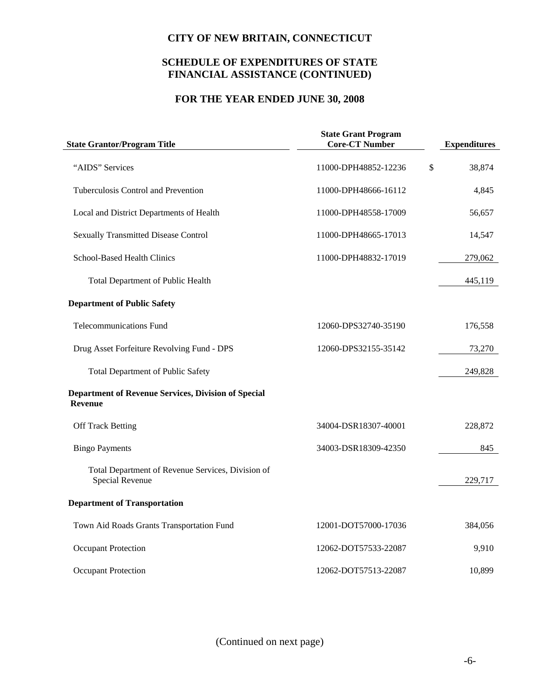#### **SCHEDULE OF EXPENDITURES OF STATE FINANCIAL ASSISTANCE (CONTINUED)**

# **FOR THE YEAR ENDED JUNE 30, 2008**

| <b>State Grantor/Program Title</b>                                          | <b>State Grant Program</b><br><b>Core-CT Number</b> | <b>Expenditures</b> |
|-----------------------------------------------------------------------------|-----------------------------------------------------|---------------------|
| "AIDS" Services                                                             | 11000-DPH48852-12236                                | \$<br>38,874        |
| Tuberculosis Control and Prevention                                         | 11000-DPH48666-16112                                | 4.845               |
| Local and District Departments of Health                                    | 11000-DPH48558-17009                                | 56,657              |
| <b>Sexually Transmitted Disease Control</b>                                 | 11000-DPH48665-17013                                | 14,547              |
| <b>School-Based Health Clinics</b>                                          | 11000-DPH48832-17019                                | 279,062             |
| Total Department of Public Health                                           |                                                     | 445,119             |
| <b>Department of Public Safety</b>                                          |                                                     |                     |
| <b>Telecommunications Fund</b>                                              | 12060-DPS32740-35190                                | 176,558             |
| Drug Asset Forfeiture Revolving Fund - DPS                                  | 12060-DPS32155-35142                                | 73,270              |
| <b>Total Department of Public Safety</b>                                    |                                                     | 249,828             |
| Department of Revenue Services, Division of Special<br><b>Revenue</b>       |                                                     |                     |
| <b>Off Track Betting</b>                                                    | 34004-DSR18307-40001                                | 228,872             |
| <b>Bingo Payments</b>                                                       | 34003-DSR18309-42350                                | 845                 |
| Total Department of Revenue Services, Division of<br><b>Special Revenue</b> |                                                     | 229,717             |
| <b>Department of Transportation</b>                                         |                                                     |                     |
| Town Aid Roads Grants Transportation Fund                                   | 12001-DOT57000-17036                                | 384,056             |
| <b>Occupant Protection</b>                                                  | 12062-DOT57533-22087                                | 9,910               |
| <b>Occupant Protection</b>                                                  | 12062-DOT57513-22087                                | 10,899              |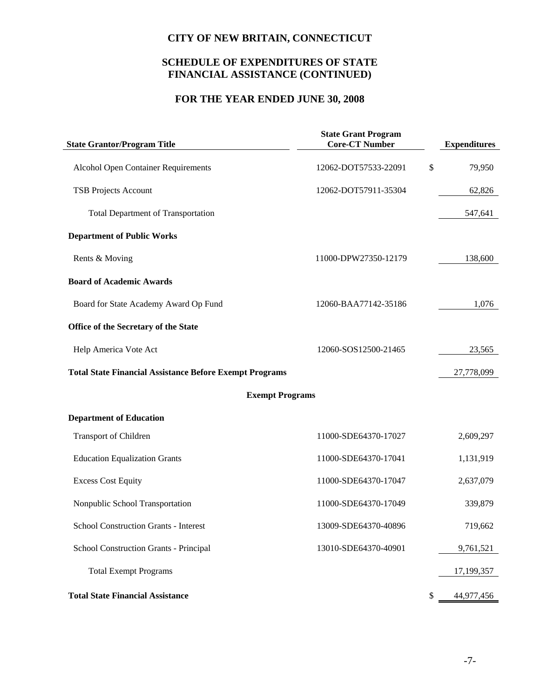#### **SCHEDULE OF EXPENDITURES OF STATE FINANCIAL ASSISTANCE (CONTINUED)**

# **FOR THE YEAR ENDED JUNE 30, 2008**

| <b>State Grantor/Program Title</b>                             | <b>State Grant Program</b><br><b>Core-CT Number</b> | <b>Expenditures</b> |
|----------------------------------------------------------------|-----------------------------------------------------|---------------------|
| <b>Alcohol Open Container Requirements</b>                     | 12062-DOT57533-22091                                | \$<br>79,950        |
| <b>TSB Projects Account</b>                                    | 12062-DOT57911-35304                                | 62,826              |
| <b>Total Department of Transportation</b>                      |                                                     | 547,641             |
| <b>Department of Public Works</b>                              |                                                     |                     |
| Rents & Moving                                                 | 11000-DPW27350-12179                                | 138,600             |
| <b>Board of Academic Awards</b>                                |                                                     |                     |
| Board for State Academy Award Op Fund                          | 12060-BAA77142-35186                                | 1,076               |
| Office of the Secretary of the State                           |                                                     |                     |
| Help America Vote Act                                          | 12060-SOS12500-21465                                | 23,565              |
| <b>Total State Financial Assistance Before Exempt Programs</b> |                                                     | 27,778,099          |
| <b>Exempt Programs</b>                                         |                                                     |                     |
| <b>Department of Education</b>                                 |                                                     |                     |
| Transport of Children                                          | 11000-SDE64370-17027                                | 2,609,297           |
| <b>Education Equalization Grants</b>                           | 11000-SDE64370-17041                                | 1,131,919           |
| <b>Excess Cost Equity</b>                                      | 11000-SDE64370-17047                                | 2,637,079           |
| Nonpublic School Transportation                                | 11000-SDE64370-17049                                | 339,879             |
| <b>School Construction Grants - Interest</b>                   | 13009-SDE64370-40896                                | 719,662             |
| School Construction Grants - Principal                         | 13010-SDE64370-40901                                | 9,761,521           |
| <b>Total Exempt Programs</b>                                   |                                                     | 17,199,357          |
| <b>Total State Financial Assistance</b>                        |                                                     | \$<br>44,977,456    |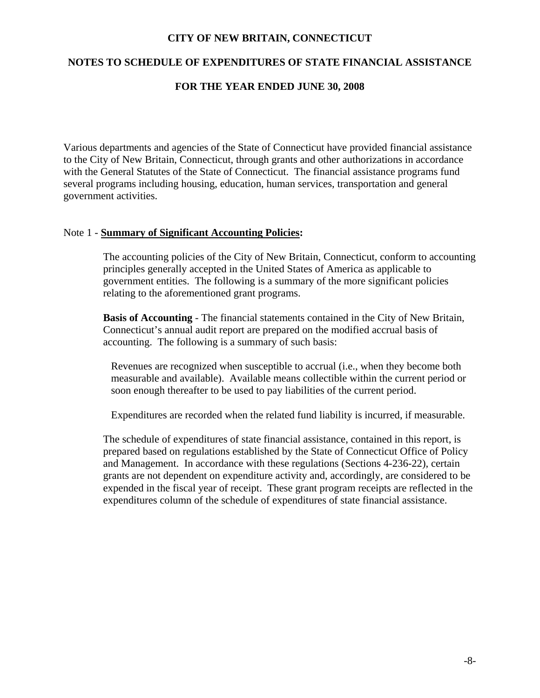#### **NOTES TO SCHEDULE OF EXPENDITURES OF STATE FINANCIAL ASSISTANCE**

#### **FOR THE YEAR ENDED JUNE 30, 2008**

Various departments and agencies of the State of Connecticut have provided financial assistance to the City of New Britain, Connecticut, through grants and other authorizations in accordance with the General Statutes of the State of Connecticut. The financial assistance programs fund several programs including housing, education, human services, transportation and general government activities.

#### Note 1 - **Summary of Significant Accounting Policies:**

The accounting policies of the City of New Britain, Connecticut, conform to accounting principles generally accepted in the United States of America as applicable to government entities. The following is a summary of the more significant policies relating to the aforementioned grant programs.

**Basis of Accounting** - The financial statements contained in the City of New Britain, Connecticut's annual audit report are prepared on the modified accrual basis of accounting. The following is a summary of such basis:

Revenues are recognized when susceptible to accrual (i.e., when they become both measurable and available). Available means collectible within the current period or soon enough thereafter to be used to pay liabilities of the current period.

Expenditures are recorded when the related fund liability is incurred, if measurable.

The schedule of expenditures of state financial assistance, contained in this report, is prepared based on regulations established by the State of Connecticut Office of Policy and Management. In accordance with these regulations (Sections 4-236-22), certain grants are not dependent on expenditure activity and, accordingly, are considered to be expended in the fiscal year of receipt. These grant program receipts are reflected in the expenditures column of the schedule of expenditures of state financial assistance.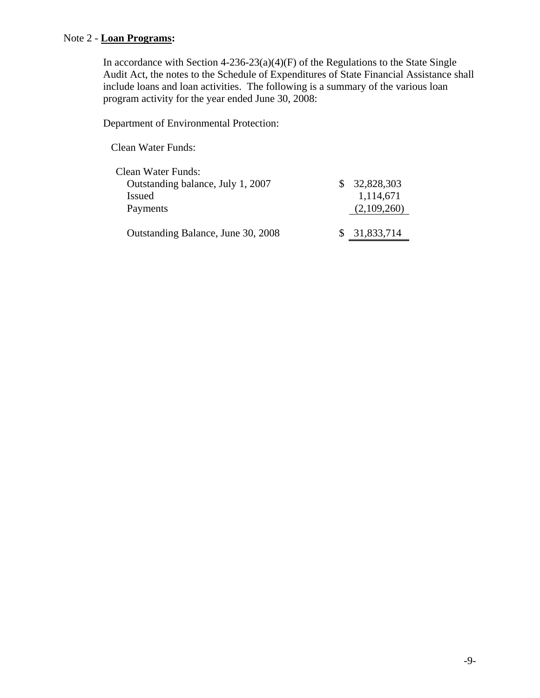#### Note 2 - **Loan Programs:**

In accordance with Section  $4-236-23(a)(4)(F)$  of the Regulations to the State Single Audit Act, the notes to the Schedule of Expenditures of State Financial Assistance shall include loans and loan activities. The following is a summary of the various loan program activity for the year ended June 30, 2008:

Department of Environmental Protection:

Clean Water Funds:

| Clean Water Funds:                 |              |
|------------------------------------|--------------|
| Outstanding balance, July 1, 2007  | \$32,828,303 |
| <b>Issued</b>                      | 1,114,671    |
| Payments                           | (2,109,260)  |
|                                    |              |
| Outstanding Balance, June 30, 2008 | \$31,833,714 |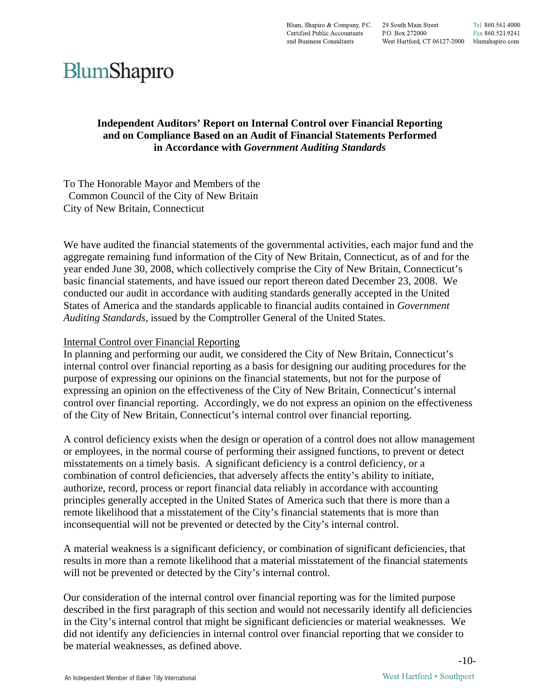# BlumShapiro

#### **Independent Auditors' Report on Internal Control over Financial Reporting and on Compliance Based on an Audit of Financial Statements Performed in Accordance with** *Government Auditing Standards*

To The Honorable Mayor and Members of the Common Council of the City of New Britain City of New Britain, Connecticut

We have audited the financial statements of the governmental activities, each major fund and the aggregate remaining fund information of the City of New Britain, Connecticut, as of and for the year ended June 30, 2008, which collectively comprise the City of New Britain, Connecticut's basic financial statements, and have issued our report thereon dated December 23, 2008. We conducted our audit in accordance with auditing standards generally accepted in the United States of America and the standards applicable to financial audits contained in *Government Auditing Standards*, issued by the Comptroller General of the United States.

#### Internal Control over Financial Reporting

In planning and performing our audit, we considered the City of New Britain, Connecticut's internal control over financial reporting as a basis for designing our auditing procedures for the purpose of expressing our opinions on the financial statements, but not for the purpose of expressing an opinion on the effectiveness of the City of New Britain, Connecticut's internal control over financial reporting. Accordingly, we do not express an opinion on the effectiveness of the City of New Britain, Connecticut's internal control over financial reporting.

A control deficiency exists when the design or operation of a control does not allow management or employees, in the normal course of performing their assigned functions, to prevent or detect misstatements on a timely basis. A significant deficiency is a control deficiency, or a combination of control deficiencies, that adversely affects the entity's ability to initiate, authorize, record, process or report financial data reliably in accordance with accounting principles generally accepted in the United States of America such that there is more than a remote likelihood that a misstatement of the City's financial statements that is more than inconsequential will not be prevented or detected by the City's internal control.

A material weakness is a significant deficiency, or combination of significant deficiencies, that results in more than a remote likelihood that a material misstatement of the financial statements will not be prevented or detected by the City's internal control.

Our consideration of the internal control over financial reporting was for the limited purpose described in the first paragraph of this section and would not necessarily identify all deficiencies in the City's internal control that might be significant deficiencies or material weaknesses. We did not identify any deficiencies in internal control over financial reporting that we consider to be material weaknesses, as defined above.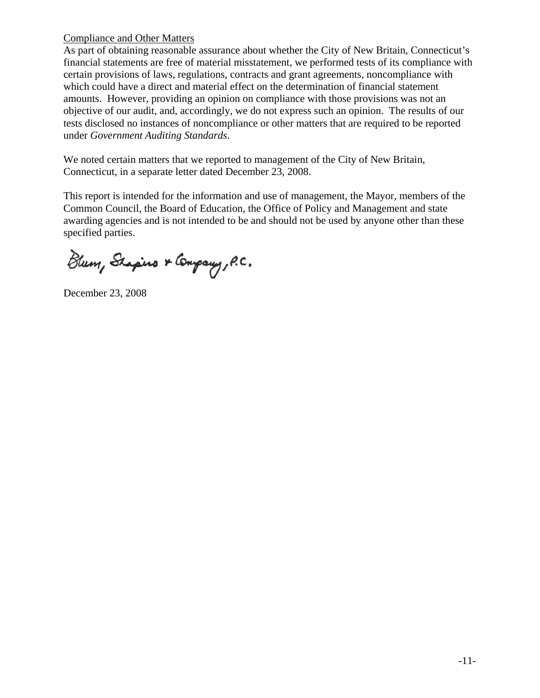#### Compliance and Other Matters

As part of obtaining reasonable assurance about whether the City of New Britain, Connecticut's financial statements are free of material misstatement, we performed tests of its compliance with certain provisions of laws, regulations, contracts and grant agreements, noncompliance with which could have a direct and material effect on the determination of financial statement amounts. However, providing an opinion on compliance with those provisions was not an objective of our audit, and, accordingly, we do not express such an opinion. The results of our tests disclosed no instances of noncompliance or other matters that are required to be reported under *Government Auditing Standards*.

We noted certain matters that we reported to management of the City of New Britain, Connecticut, in a separate letter dated December 23, 2008.

This report is intended for the information and use of management, the Mayor, members of the Common Council, the Board of Education, the Office of Policy and Management and state awarding agencies and is not intended to be and should not be used by anyone other than these specified parties.

Blum, Shapino & Company, P.C.

December 23, 2008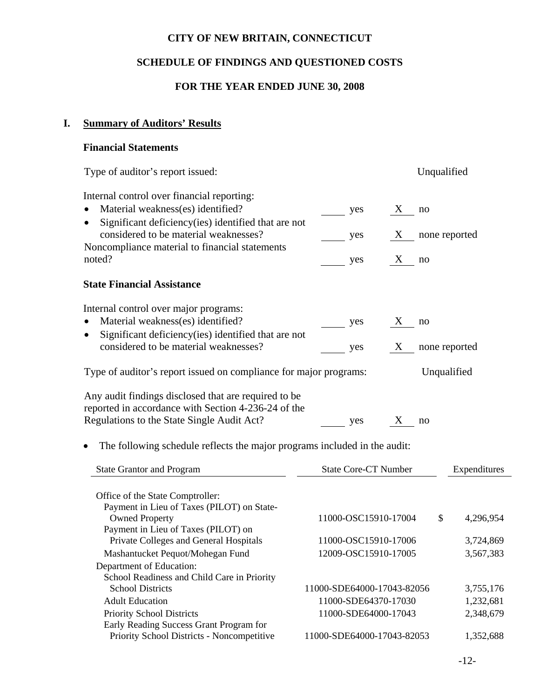# **SCHEDULE OF FINDINGS AND QUESTIONED COSTS**

# **FOR THE YEAR ENDED JUNE 30, 2008**

# **I. Summary of Auditors' Results**

# **Financial Statements**

| Type of auditor's report issued:                                                                                                                                                                                                                          | Unqualified                                                                  |
|-----------------------------------------------------------------------------------------------------------------------------------------------------------------------------------------------------------------------------------------------------------|------------------------------------------------------------------------------|
| Internal control over financial reporting:<br>Material weakness(es) identified?<br>Significant deficiency (ies) identified that are not<br>$\bullet$<br>considered to be material weaknesses?<br>Noncompliance material to financial statements<br>noted? | $\mathbf{X}$<br>yes<br>no<br>X<br>none reported<br>yes<br>X<br>no<br>yes     |
| <b>State Financial Assistance</b>                                                                                                                                                                                                                         |                                                                              |
| Internal control over major programs:<br>Material weakness(es) identified?<br>Significant deficiency (ies) identified that are not<br>considered to be material weaknesses?                                                                               | yes<br>X<br>no<br>X none reported<br>yes                                     |
| Type of auditor's report issued on compliance for major programs:                                                                                                                                                                                         | Unqualified                                                                  |
| Any audit findings disclosed that are required to be<br>reported in accordance with Section 4-236-24 of the<br>Regulations to the State Single Audit Act?<br>The following schedule reflects the major programs included in the audit:                    | X<br>no<br>yes                                                               |
| <b>State Grantor and Program</b>                                                                                                                                                                                                                          | <b>State Core-CT Number</b><br>Expenditures                                  |
| Office of the State Comptroller:<br>Payment in Lieu of Taxes (PILOT) on State-<br><b>Owned Property</b><br>Payment in Lieu of Taxes (PILOT) on<br>Private Colleges and General Hospitals                                                                  | 11000-OSC15910-17004<br>\$<br>4,296,954<br>11000-OSC15910-17006<br>3,724,869 |
| Mashantucket Pequot/Mohegan Fund                                                                                                                                                                                                                          | 12009-OSC15910-17005<br>3,567,383                                            |
| Department of Education:<br>School Readiness and Child Care in Priority<br><b>School Districts</b><br><b>Adult Education</b>                                                                                                                              | 11000-SDE64000-17043-82056<br>3,755,176<br>11000-SDE64370-17030<br>1,232,681 |
| Priority School Districts                                                                                                                                                                                                                                 | 11000-SDE64000-17043<br>2,348,679                                            |
| Early Reading Success Grant Program for<br>Priority School Districts - Noncompetitive                                                                                                                                                                     | 11000-SDE64000-17043-82053<br>1,352,688                                      |